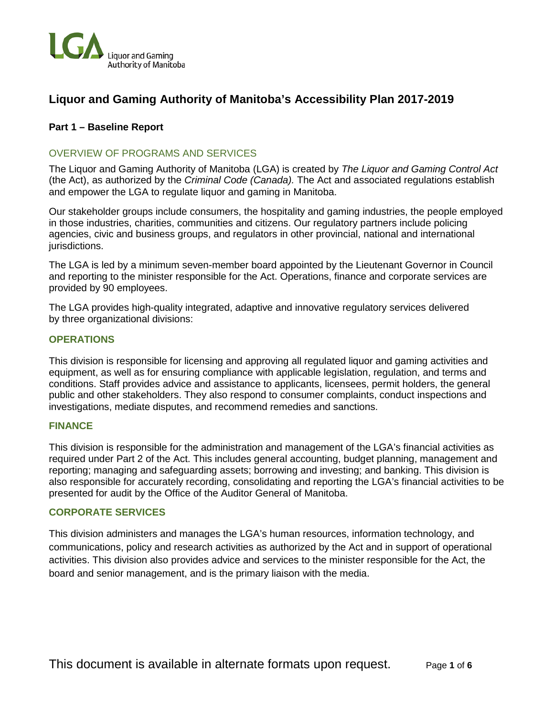

## **Liquor and Gaming Authority of Manitoba's Accessibility Plan 2017-2019**

## **Part 1 – Baseline Report**

## OVERVIEW OF PROGRAMS AND SERVICES

The Liquor and Gaming Authority of Manitoba (LGA) is created by *The Liquor and Gaming Control Act* (the Act), as authorized by the *Criminal Code (Canada).* The Act and associated regulations establish and empower the LGA to regulate liquor and gaming in Manitoba.

Our stakeholder groups include consumers, the hospitality and gaming industries, the people employed in those industries, charities, communities and citizens. Our regulatory partners include policing agencies, civic and business groups, and regulators in other provincial, national and international jurisdictions.

The LGA is led by a minimum seven-member board appointed by the Lieutenant Governor in Council and reporting to the minister responsible for the Act. Operations, finance and corporate services are provided by 90 employees.

The LGA provides high-quality integrated, adaptive and innovative regulatory services delivered by three organizational divisions:

### **OPERATIONS**

This division is responsible for licensing and approving all regulated liquor and gaming activities and equipment, as well as for ensuring compliance with applicable legislation, regulation, and terms and conditions. Staff provides advice and assistance to applicants, licensees, permit holders, the general public and other stakeholders. They also respond to consumer complaints, conduct inspections and investigations, mediate disputes, and recommend remedies and sanctions.

## **FINANCE**

This division is responsible for the administration and management of the LGA's financial activities as required under Part 2 of the Act. This includes general accounting, budget planning, management and reporting; managing and safeguarding assets; borrowing and investing; and banking. This division is also responsible for accurately recording, consolidating and reporting the LGA's financial activities to be presented for audit by the Office of the Auditor General of Manitoba.

### **CORPORATE SERVICES**

This division administers and manages the LGA's human resources, information technology, and communications, policy and research activities as authorized by the Act and in support of operational activities. This division also provides advice and services to the minister responsible for the Act, the board and senior management, and is the primary liaison with the media.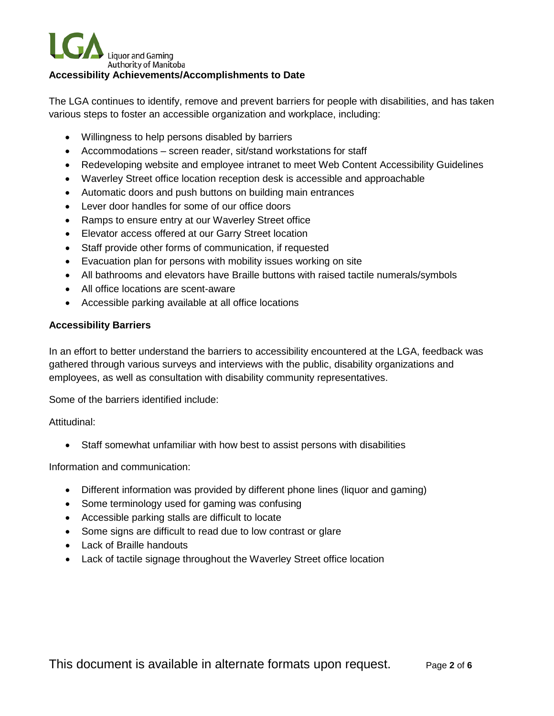# **Liquor and Gaming** Authority of Manitoba **Accessibility Achievements/Accomplishments to Date**

The LGA continues to identify, remove and prevent barriers for people with disabilities, and has taken various steps to foster an accessible organization and workplace, including:

- Willingness to help persons disabled by barriers
- Accommodations screen reader, sit/stand workstations for staff
- Redeveloping website and employee intranet to meet Web Content Accessibility Guidelines
- Waverley Street office location reception desk is accessible and approachable
- Automatic doors and push buttons on building main entrances
- Lever door handles for some of our office doors
- Ramps to ensure entry at our Waverley Street office
- Elevator access offered at our Garry Street location
- Staff provide other forms of communication, if requested
- Evacuation plan for persons with mobility issues working on site
- All bathrooms and elevators have Braille buttons with raised tactile numerals/symbols
- All office locations are scent-aware
- Accessible parking available at all office locations

## **Accessibility Barriers**

In an effort to better understand the barriers to accessibility encountered at the LGA, feedback was gathered through various surveys and interviews with the public, disability organizations and employees, as well as consultation with disability community representatives.

Some of the barriers identified include:

Attitudinal:

• Staff somewhat unfamiliar with how best to assist persons with disabilities

Information and communication:

- Different information was provided by different phone lines (liquor and gaming)
- Some terminology used for gaming was confusing
- Accessible parking stalls are difficult to locate
- Some signs are difficult to read due to low contrast or glare
- Lack of Braille handouts
- Lack of tactile signage throughout the Waverley Street office location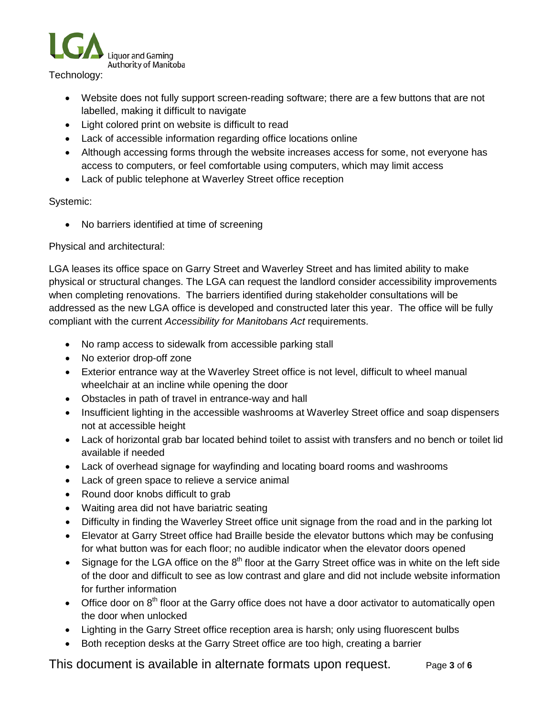

Technology:

- Website does not fully support screen-reading software; there are a few buttons that are not labelled, making it difficult to navigate
- Light colored print on website is difficult to read
- Lack of accessible information regarding office locations online
- Although accessing forms through the website increases access for some, not everyone has access to computers, or feel comfortable using computers, which may limit access
- Lack of public telephone at Waverley Street office reception

## Systemic:

• No barriers identified at time of screening

## Physical and architectural:

LGA leases its office space on Garry Street and Waverley Street and has limited ability to make physical or structural changes. The LGA can request the landlord consider accessibility improvements when completing renovations. The barriers identified during stakeholder consultations will be addressed as the new LGA office is developed and constructed later this year. The office will be fully compliant with the current *Accessibility for Manitobans Act* requirements.

- No ramp access to sidewalk from accessible parking stall
- No exterior drop-off zone
- Exterior entrance way at the Waverley Street office is not level, difficult to wheel manual wheelchair at an incline while opening the door
- Obstacles in path of travel in entrance-way and hall
- Insufficient lighting in the accessible washrooms at Waverley Street office and soap dispensers not at accessible height
- Lack of horizontal grab bar located behind toilet to assist with transfers and no bench or toilet lid available if needed
- Lack of overhead signage for wayfinding and locating board rooms and washrooms
- Lack of green space to relieve a service animal
- Round door knobs difficult to grab
- Waiting area did not have bariatric seating
- Difficulty in finding the Waverley Street office unit signage from the road and in the parking lot
- Elevator at Garry Street office had Braille beside the elevator buttons which may be confusing for what button was for each floor; no audible indicator when the elevator doors opened
- Signage for the LGA office on the  $8<sup>th</sup>$  floor at the Garry Street office was in white on the left side of the door and difficult to see as low contrast and glare and did not include website information for further information
- Office door on 8<sup>th</sup> floor at the Garry office does not have a door activator to automatically open the door when unlocked
- Lighting in the Garry Street office reception area is harsh; only using fluorescent bulbs
- Both reception desks at the Garry Street office are too high, creating a barrier

This document is available in alternate formats upon request. Page **3** of **6**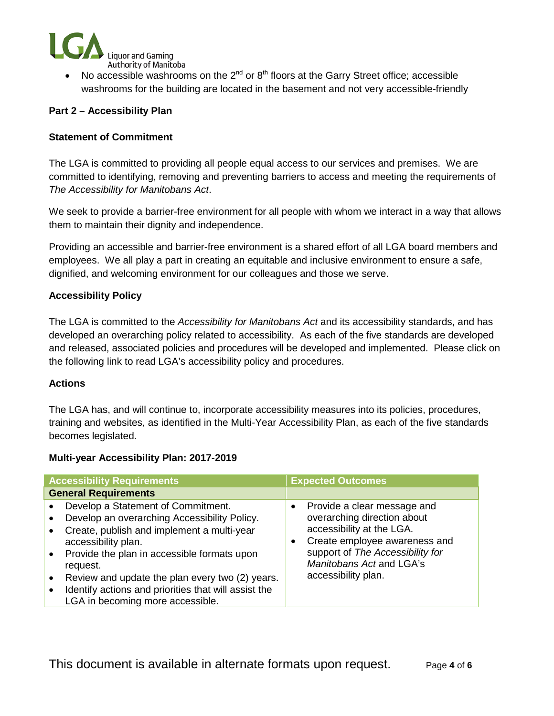

Authority of Manitoba<br>• No accessible washrooms on the 2<sup>nd</sup> or 8<sup>th</sup> floors at the Garry Street office; accessible washrooms for the building are located in the basement and not very accessible-friendly

## **Part 2 – Accessibility Plan**

## **Statement of Commitment**

The LGA is committed to providing all people equal access to our services and premises. We are committed to identifying, removing and preventing barriers to access and meeting the requirements of *The Accessibility for Manitobans Act*.

We seek to provide a barrier-free environment for all people with whom we interact in a way that allows them to maintain their dignity and independence.

Providing an accessible and barrier-free environment is a shared effort of all LGA board members and employees. We all play a part in creating an equitable and inclusive environment to ensure a safe, dignified, and welcoming environment for our colleagues and those we serve.

## **Accessibility Policy**

The LGA is committed to the *Accessibility for Manitobans Act* and its accessibility standards, and has developed an overarching policy related to accessibility. As each of the five standards are developed and released, associated policies and procedures will be developed and implemented. Please click on the following link to read LGA's accessibility policy and procedures.

#### **Actions**

The LGA has, and will continue to, incorporate accessibility measures into its policies, procedures, training and websites, as identified in the Multi-Year Accessibility Plan, as each of the five standards becomes legislated.

#### **Multi-year Accessibility Plan: 2017-2019**

| <b>Accessibility Requirements</b>                                                                                                                                                                                                                                                                                                                                                                                                    | <b>Expected Outcomes</b>                                                                                                                                                                                                     |  |
|--------------------------------------------------------------------------------------------------------------------------------------------------------------------------------------------------------------------------------------------------------------------------------------------------------------------------------------------------------------------------------------------------------------------------------------|------------------------------------------------------------------------------------------------------------------------------------------------------------------------------------------------------------------------------|--|
| <b>General Requirements</b>                                                                                                                                                                                                                                                                                                                                                                                                          |                                                                                                                                                                                                                              |  |
| Develop a Statement of Commitment.<br>$\bullet$<br>Develop an overarching Accessibility Policy.<br>$\bullet$<br>Create, publish and implement a multi-year<br>$\bullet$<br>accessibility plan.<br>• Provide the plan in accessible formats upon<br>request.<br>Review and update the plan every two (2) years.<br>$\bullet$<br>Identify actions and priorities that will assist the<br>$\bullet$<br>LGA in becoming more accessible. | Provide a clear message and<br>$\bullet$<br>overarching direction about<br>accessibility at the LGA.<br>Create employee awareness and<br>support of The Accessibility for<br>Manitobans Act and LGA's<br>accessibility plan. |  |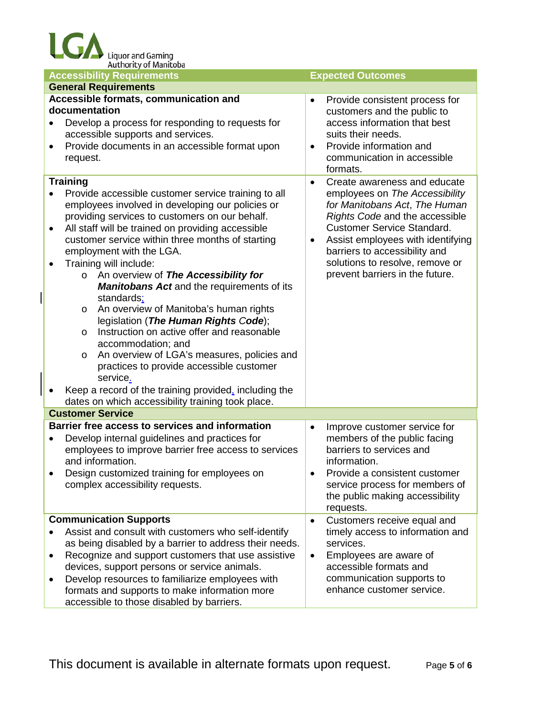| <b>Accessibility Requirements</b>                                                                                                                                                                                                                                                                                                                                                                                                                                                                                                                                                                                                                                                                                                                                                                                                                      | <b>Expected Outcomes</b>                                                                                                                                                                                                                                                                        |
|--------------------------------------------------------------------------------------------------------------------------------------------------------------------------------------------------------------------------------------------------------------------------------------------------------------------------------------------------------------------------------------------------------------------------------------------------------------------------------------------------------------------------------------------------------------------------------------------------------------------------------------------------------------------------------------------------------------------------------------------------------------------------------------------------------------------------------------------------------|-------------------------------------------------------------------------------------------------------------------------------------------------------------------------------------------------------------------------------------------------------------------------------------------------|
| <b>General Requirements</b>                                                                                                                                                                                                                                                                                                                                                                                                                                                                                                                                                                                                                                                                                                                                                                                                                            |                                                                                                                                                                                                                                                                                                 |
| Accessible formats, communication and<br>documentation<br>Develop a process for responding to requests for<br>$\bullet$<br>accessible supports and services.<br>Provide documents in an accessible format upon<br>$\bullet$<br>request.                                                                                                                                                                                                                                                                                                                                                                                                                                                                                                                                                                                                                | Provide consistent process for<br>customers and the public to<br>access information that best<br>suits their needs.<br>Provide information and<br>$\bullet$<br>communication in accessible<br>formats.                                                                                          |
| <b>Training</b>                                                                                                                                                                                                                                                                                                                                                                                                                                                                                                                                                                                                                                                                                                                                                                                                                                        | Create awareness and educate                                                                                                                                                                                                                                                                    |
| Provide accessible customer service training to all<br>employees involved in developing our policies or<br>providing services to customers on our behalf.<br>All staff will be trained on providing accessible<br>٠<br>customer service within three months of starting<br>employment with the LGA.<br>Training will include:<br>o An overview of The Accessibility for<br><b>Manitobans Act and the requirements of its</b><br>standards:<br>An overview of Manitoba's human rights<br>$\circ$<br>legislation (The Human Rights Code);<br>Instruction on active offer and reasonable<br>$\circ$<br>accommodation; and<br>An overview of LGA's measures, policies and<br>$\circ$<br>practices to provide accessible customer<br>service.<br>Keep a record of the training provided, including the<br>dates on which accessibility training took place. | employees on The Accessibility<br>for Manitobans Act, The Human<br>Rights Code and the accessible<br><b>Customer Service Standard.</b><br>Assist employees with identifying<br>$\bullet$<br>barriers to accessibility and<br>solutions to resolve, remove or<br>prevent barriers in the future. |
| <b>Customer Service</b>                                                                                                                                                                                                                                                                                                                                                                                                                                                                                                                                                                                                                                                                                                                                                                                                                                |                                                                                                                                                                                                                                                                                                 |
| Barrier free access to services and information<br>Develop internal guidelines and practices for<br>٠<br>employees to improve barrier free access to services<br>and information.<br>Design customized training for employees on<br>complex accessibility requests.                                                                                                                                                                                                                                                                                                                                                                                                                                                                                                                                                                                    | Improve customer service for<br>$\bullet$<br>members of the public facing<br>barriers to services and<br>information.<br>Provide a consistent customer<br>service process for members of<br>the public making accessibility<br>requests.                                                        |
| <b>Communication Supports</b>                                                                                                                                                                                                                                                                                                                                                                                                                                                                                                                                                                                                                                                                                                                                                                                                                          | Customers receive equal and<br>$\bullet$                                                                                                                                                                                                                                                        |
| Assist and consult with customers who self-identify<br>$\bullet$<br>as being disabled by a barrier to address their needs.<br>Recognize and support customers that use assistive<br>$\bullet$<br>devices, support persons or service animals.<br>Develop resources to familiarize employees with<br>٠<br>formats and supports to make information more<br>accessible to those disabled by barriers.                                                                                                                                                                                                                                                                                                                                                                                                                                                    | timely access to information and<br>services.<br>Employees are aware of<br>$\bullet$<br>accessible formats and<br>communication supports to<br>enhance customer service.                                                                                                                        |